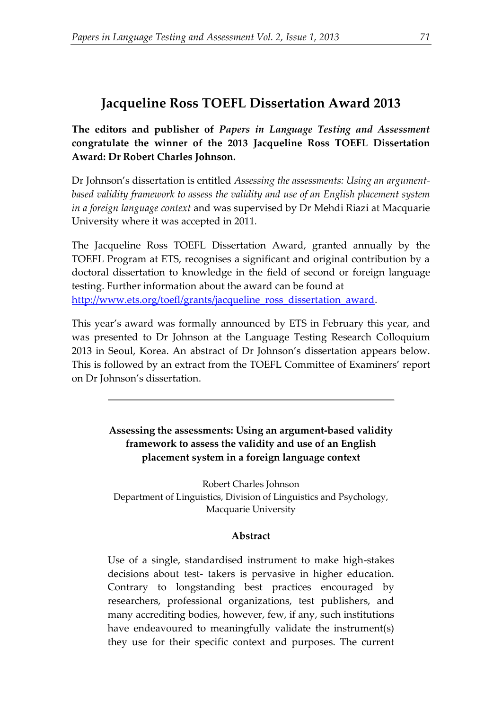## **Jacqueline Ross TOEFL Dissertation Award 2013**

**The editors and publisher of** *Papers in Language Testing and Assessment* **congratulate the winner of the 2013 Jacqueline Ross TOEFL Dissertation Award: Dr Robert Charles Johnson.**

Dr Johnson's dissertation is entitled *Assessing the assessments: Using an argumentbased validity framework to assess the validity and use of an English placement system in a foreign language context* and was supervised by Dr Mehdi Riazi at Macquarie University where it was accepted in 2011*.*

The Jacqueline Ross TOEFL Dissertation Award, granted annually by the TOEFL Program at ETS, recognises a significant and original contribution by a doctoral dissertation to knowledge in the field of second or foreign language testing. Further information about the award can be found at [http://www.ets.org/toefl/grants/jacqueline\\_ross\\_dissertation\\_award.](http://www.ets.org/toefl/grants/jacqueline_ross_dissertation_award)

This year's award was formally announced by ETS in February this year, and was presented to Dr Johnson at the Language Testing Research Colloquium 2013 in Seoul, Korea. An abstract of Dr Johnson's dissertation appears below. This is followed by an extract from the TOEFL Committee of Examiners' report on Dr Johnson's dissertation.

> **Assessing the assessments: Using an argument-based validity framework to assess the validity and use of an English placement system in a foreign language context**

Robert Charles Johnson Department of Linguistics, Division of Linguistics and Psychology, Macquarie University

## **Abstract**

Use of a single, standardised instrument to make high-stakes decisions about test- takers is pervasive in higher education. Contrary to longstanding best practices encouraged by researchers, professional organizations, test publishers, and many accrediting bodies, however, few, if any, such institutions have endeavoured to meaningfully validate the instrument(s) they use for their specific context and purposes. The current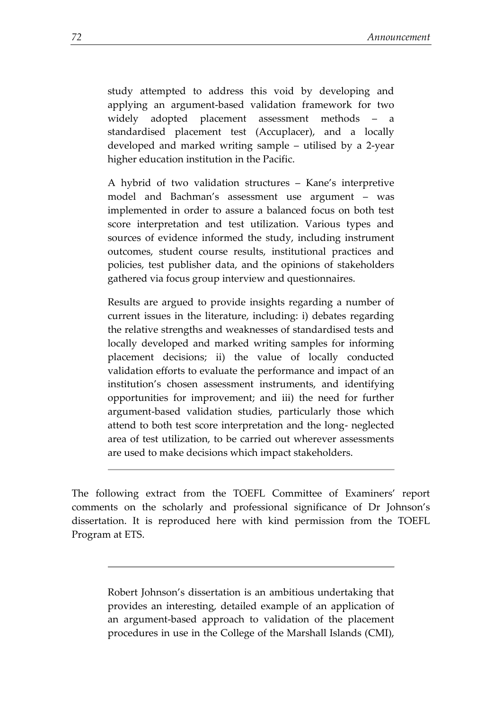study attempted to address this void by developing and applying an argument-based validation framework for two widely adopted placement assessment methods – a standardised placement test (Accuplacer), and a locally developed and marked writing sample – utilised by a 2-year higher education institution in the Pacific.

A hybrid of two validation structures – Kane's interpretive model and Bachman's assessment use argument – was implemented in order to assure a balanced focus on both test score interpretation and test utilization. Various types and sources of evidence informed the study, including instrument outcomes, student course results, institutional practices and policies, test publisher data, and the opinions of stakeholders gathered via focus group interview and questionnaires.

Results are argued to provide insights regarding a number of current issues in the literature, including: i) debates regarding the relative strengths and weaknesses of standardised tests and locally developed and marked writing samples for informing placement decisions; ii) the value of locally conducted validation efforts to evaluate the performance and impact of an institution's chosen assessment instruments, and identifying opportunities for improvement; and iii) the need for further argument-based validation studies, particularly those which attend to both test score interpretation and the long- neglected area of test utilization, to be carried out wherever assessments are used to make decisions which impact stakeholders.

The following extract from the TOEFL Committee of Examiners' report comments on the scholarly and professional significance of Dr Johnson's dissertation. It is reproduced here with kind permission from the TOEFL Program at ETS.

Robert Johnson's dissertation is an ambitious undertaking that provides an interesting, detailed example of an application of an argument-based approach to validation of the placement procedures in use in the College of the Marshall Islands (CMI),